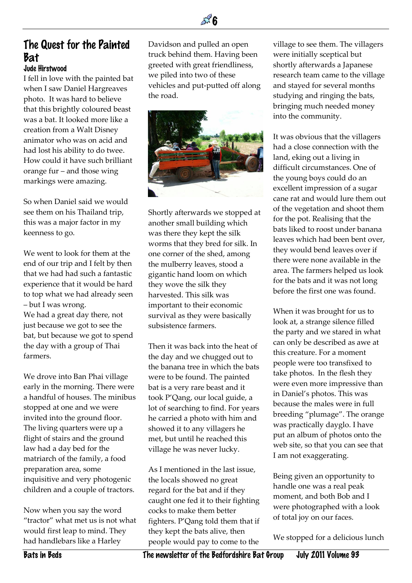## The Quest for the Painted Bat Jude Hirstwood

 $\mathbb{Z}^3$  6

I fell in love with the painted bat when I saw Daniel Hargreaves photo. It was hard to believe that this brightly coloured beast was a bat. It looked more like a creation from a Walt Disney animator who was on acid and had lost his ability to do twee. How could it have such brilliant orange fur – and those wing markings were amazing.

So when Daniel said we would see them on his Thailand trip, this was a major factor in my keenness to go.

We went to look for them at the end of our trip and I felt by then that we had had such a fantastic experience that it would be hard to top what we had already seen – but I was wrong. We had a great day there, not just because we got to see the bat, but because we got to spend the day with a group of Thai farmers.

We drove into Ban Phai village early in the morning. There were a handful of houses. The minibus stopped at one and we were invited into the ground floor. The living quarters were up a flight of stairs and the ground law had a day bed for the matriarch of the family, a food preparation area, some inquisitive and very photogenic children and a couple of tractors.

Now when you say the word "tractor" what met us is not what would first leap to mind. They had handlebars like a Harley

Davidson and pulled an open truck behind them. Having been greeted with great friendliness, we piled into two of these vehicles and put-putted off along the road.



Shortly afterwards we stopped at another small building which was there they kept the silk worms that they bred for silk. In one corner of the shed, among the mulberry leaves, stood a gigantic hand loom on which they wove the silk they harvested. This silk was important to their economic survival as they were basically subsistence farmers.

Then it was back into the heat of the day and we chugged out to the banana tree in which the bats were to be found. The painted bat is a very rare beast and it took P'Qang, our local guide, a lot of searching to find. For years he carried a photo with him and showed it to any villagers he met, but until he reached this village he was never lucky.

As I mentioned in the last issue, the locals showed no great regard for the bat and if they caught one fed it to their fighting cocks to make them better fighters. P'Qang told them that if they kept the bats alive, then people would pay to come to the

village to see them. The villagers were initially sceptical but shortly afterwards a Japanese research team came to the village and stayed for several months studying and ringing the bats, bringing much needed money into the community.

It was obvious that the villagers had a close connection with the land, eking out a living in difficult circumstances. One of the young boys could do an excellent impression of a sugar cane rat and would lure them out of the vegetation and shoot them for the pot. Realising that the bats liked to roost under banana leaves which had been bent over, they would bend leaves over if there were none available in the area. The farmers helped us look for the bats and it was not long before the first one was found.

When it was brought for us to look at, a strange silence filled the party and we stared in what can only be described as awe at this creature. For a moment people were too transfixed to take photos. In the flesh they were even more impressive than in Daniel's photos. This was because the males were in full breeding "plumage". The orange was practically dayglo. I have put an album of photos onto the web site, so that you can see that I am not exaggerating.

Being given an opportunity to handle one was a real peak moment, and both Bob and I were photographed with a look of total joy on our faces.

We stopped for a delicious lunch